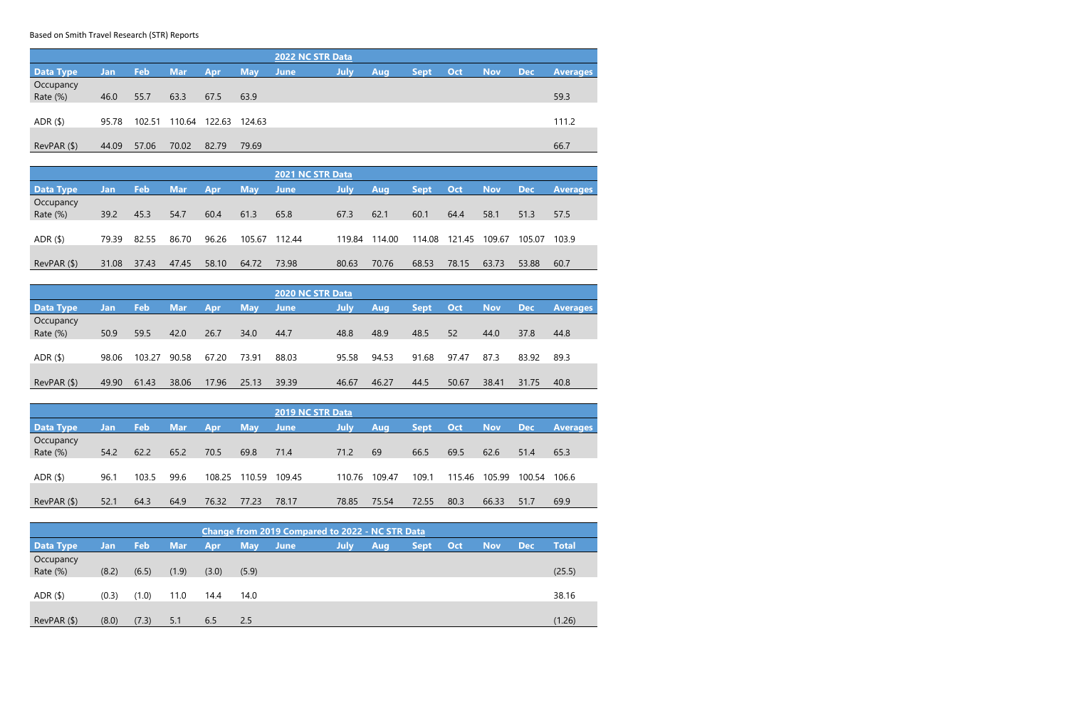Based on Smith Travel Research (STR) Reports

| <b>2022 NC STR Data</b>         |            |        |            |            |            |             |             |     |             |     |     |       |                 |
|---------------------------------|------------|--------|------------|------------|------------|-------------|-------------|-----|-------------|-----|-----|-------|-----------------|
| <b>Data Type</b>                | <b>Jan</b> | Feb    | <b>Mar</b> | <b>Apr</b> | <b>May</b> | <b>June</b> | <b>July</b> | Aug | <b>Sept</b> | Oct | Nov | / Dec | <b>Averages</b> |
| Occupancy                       |            |        |            |            |            |             |             |     |             |     |     |       |                 |
| Rate (%)                        | 46.0       | 55.7   | 63.3       | 67.5       | 63.9       |             |             |     |             |     |     |       | 59.3            |
|                                 |            |        |            |            |            |             |             |     |             |     |     |       |                 |
| ADR <sub>(</sub> <sup>§</sup> ) | 95.78      | 102.51 | 110.64     | 122.63     | 124.63     |             |             |     |             |     |     |       | 111.2           |
|                                 |            |        |            |            |            |             |             |     |             |     |     |       |                 |
| RevPAR ( \$ )                   | 44.09      | 57.06  | 70.02      | 82.79      | 79.69      |             |             |     |             |     |     |       | 66.7            |

| 2021 NC STR Data |       |       |            |       |            |        |        |        |        |        |            |            |                 |
|------------------|-------|-------|------------|-------|------------|--------|--------|--------|--------|--------|------------|------------|-----------------|
| <b>Data Type</b> | Jan/  | Feb   | <b>Mar</b> | Apr   | <b>May</b> | June   | July   | Aug    | Sept/  | Oct    | <b>Nov</b> | <b>Dec</b> | <b>Averages</b> |
| Occupancy        |       |       |            |       |            |        |        |        |        |        |            |            |                 |
| Rate (%)         | 39.2  | 45.3  | 54.7       | 60.4  | 61.3       | 65.8   | 67.3   | 62.1   | 60.1   | 64.4   | 58.1       | 51.3       | 57.5            |
|                  |       |       |            |       |            |        |        |        |        |        |            |            |                 |
| ADR $($ \$)      | 79.39 | 82.55 | 86.70      | 96.26 | 105.67     | 112.44 | 119.84 | 114.00 | 114.08 | 121.45 | 109.67     | 105.07     | 103.9           |
|                  |       |       |            |       |            |        |        |        |        |        |            |            |                 |
| RevPAR ( \$ )    | 31.08 | 37.43 | 47.45      | 58.10 | 64.72      | 73.98  | 80.63  | 70.76  | 68.53  | 78.15  | 63.73      | 53.88      | 60.7            |

| <b>2020 NC STR Data</b> |       |        |            |            |            |       |       |       |             |       |            |            |                 |
|-------------------------|-------|--------|------------|------------|------------|-------|-------|-------|-------------|-------|------------|------------|-----------------|
| <b>Data Type</b>        | Jan   | Feb    | <b>Mar</b> | <b>Apr</b> | <b>May</b> | June  | July  | Aug   | <b>Sept</b> | Oct   | <b>Nov</b> | <b>Dec</b> | <b>Averages</b> |
| Occupancy               |       |        |            |            |            |       |       |       |             |       |            |            |                 |
| Rate (%)                | 50.9  | 59.5   | 42.0       | 26.7       | 34.0       | 44.7  | 48.8  | 48.9  | 48.5        | 52    | 44.0       | 37.8       | 44.8            |
|                         |       |        |            |            |            |       |       |       |             |       |            |            |                 |
| ADR $($ \$)             | 98.06 | 103.27 | 90.58      | 67.20      | 73.91      | 88.03 | 95.58 | 94.53 | 91.68       | 97.47 | 87.3       | 83.92      | 89.3            |
|                         |       |        |            |            |            |       |       |       |             |       |            |            |                 |
| RevPAR (\$)             | 49.90 | 61.43  | 38.06      | 17.96      | 25.13      | 39.39 | 46.67 | 46.27 | 44.5        | 50.67 | 38.41      | 31.75      | 40.8            |

| <b>2019 NC STR Data</b>         |      |       |      |        |            |             |        |        |             |        |            |            |                 |
|---------------------------------|------|-------|------|--------|------------|-------------|--------|--------|-------------|--------|------------|------------|-----------------|
| Data Type                       | Jan  | Feb   | Mar/ | Apr    | <b>May</b> | <b>June</b> | July   | Aug,   | <b>Sept</b> | Oct    | <b>Nov</b> | <b>Dec</b> | <b>Averages</b> |
| Occupancy<br>Rate (%)           | 54.2 | 62.2  | 65.2 | 70.5   | 69.8       | 71.4        | 71.2   | 69     | 66.5        | 69.5   | 62.6       | 51.4       | 65.3            |
| ADR <sub>(</sub> <sup>§</sup> ) | 96.1 | 103.5 | 99.6 | 108.25 | 110.59     | 109.45      | 110.76 | 109.47 | 109.1       | 115.46 | 105.99     | 100.54     | 106.6           |
| RevPAR ( \$ )                   | 52.1 | 64.3  | 64.9 | 76.32  | 77.23      | 78.17       | 78.85  | 75.54  | 72.55       | 80.3   | 66.33      | 51.7       | 69.9            |

| <b>Change from 2019 Compared to 2022 - NC STR Data</b> |       |            |            |       |            |             |             |            |             |     |            |       |              |
|--------------------------------------------------------|-------|------------|------------|-------|------------|-------------|-------------|------------|-------------|-----|------------|-------|--------------|
| <b>Data Type</b>                                       | Jan   | <b>Feb</b> | <b>Mar</b> | Apr   | <b>May</b> | <b>June</b> | <b>July</b> | <b>Aug</b> | <b>Sept</b> | Oct | <b>Nov</b> | / Dec | <b>Total</b> |
| Occupancy<br>Rate (%)                                  | (8.2) | (6.5)      | (1.9)      | (3.0) | (5.9)      |             |             |            |             |     |            |       | (25.5)       |
| ADR $($ \$)                                            | (0.3) | (1.0)      | 11.0       | 14.4  | 14.0       |             |             |            |             |     |            |       | 38.16        |
| RevPAR ( \$ )                                          | (8.0) | (7.3)      | 5.1        | 6.5   | 2.5        |             |             |            |             |     |            |       | (1.26)       |